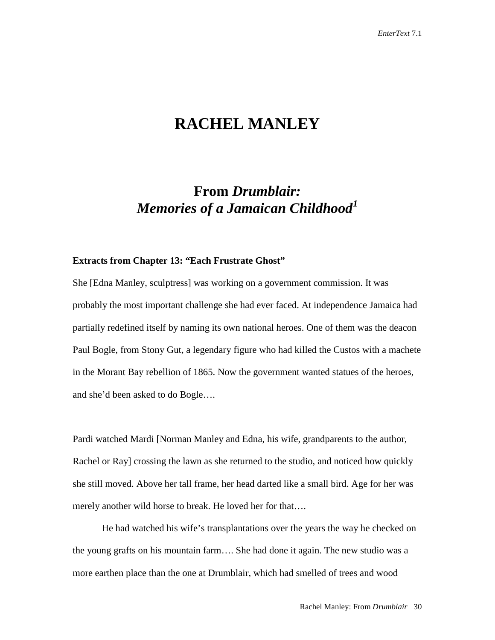## **RACHEL MANLEY**

## **From** *Drumblair: Memories of a Jamaican Childhood[1](#page-5-0)*

## **Extracts from Chapter 13: "Each Frustrate Ghost"**

She [Edna Manley, sculptress] was working on a government commission. It was probably the most important challenge she had ever faced. At independence Jamaica had partially redefined itself by naming its own national heroes. One of them was the deacon Paul Bogle, from Stony Gut, a legendary figure who had killed the Custos with a machete in the Morant Bay rebellion of 1865. Now the government wanted statues of the heroes, and she'd been asked to do Bogle….

Pardi watched Mardi [Norman Manley and Edna, his wife, grandparents to the author, Rachel or Ray] crossing the lawn as she returned to the studio, and noticed how quickly she still moved. Above her tall frame, her head darted like a small bird. Age for her was merely another wild horse to break. He loved her for that….

He had watched his wife's transplantations over the years the way he checked on the young grafts on his mountain farm…. She had done it again. The new studio was a more earthen place than the one at Drumblair, which had smelled of trees and wood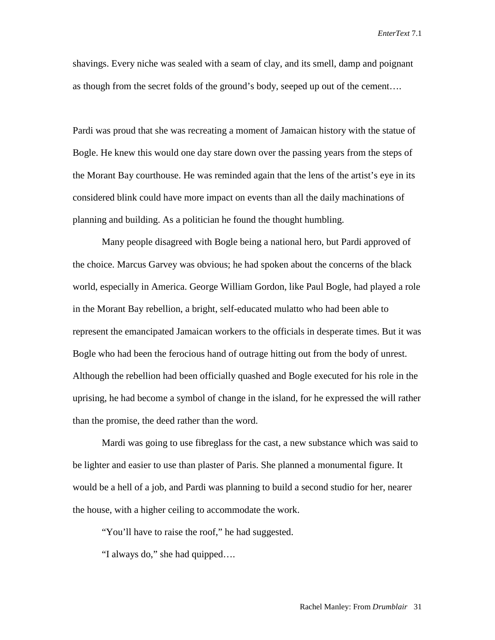shavings. Every niche was sealed with a seam of clay, and its smell, damp and poignant as though from the secret folds of the ground's body, seeped up out of the cement….

Pardi was proud that she was recreating a moment of Jamaican history with the statue of Bogle. He knew this would one day stare down over the passing years from the steps of the Morant Bay courthouse. He was reminded again that the lens of the artist's eye in its considered blink could have more impact on events than all the daily machinations of planning and building. As a politician he found the thought humbling.

Many people disagreed with Bogle being a national hero, but Pardi approved of the choice. Marcus Garvey was obvious; he had spoken about the concerns of the black world, especially in America. George William Gordon, like Paul Bogle, had played a role in the Morant Bay rebellion, a bright, self-educated mulatto who had been able to represent the emancipated Jamaican workers to the officials in desperate times. But it was Bogle who had been the ferocious hand of outrage hitting out from the body of unrest. Although the rebellion had been officially quashed and Bogle executed for his role in the uprising, he had become a symbol of change in the island, for he expressed the will rather than the promise, the deed rather than the word.

Mardi was going to use fibreglass for the cast, a new substance which was said to be lighter and easier to use than plaster of Paris. She planned a monumental figure. It would be a hell of a job, and Pardi was planning to build a second studio for her, nearer the house, with a higher ceiling to accommodate the work.

"You'll have to raise the roof," he had suggested.

"I always do," she had quipped….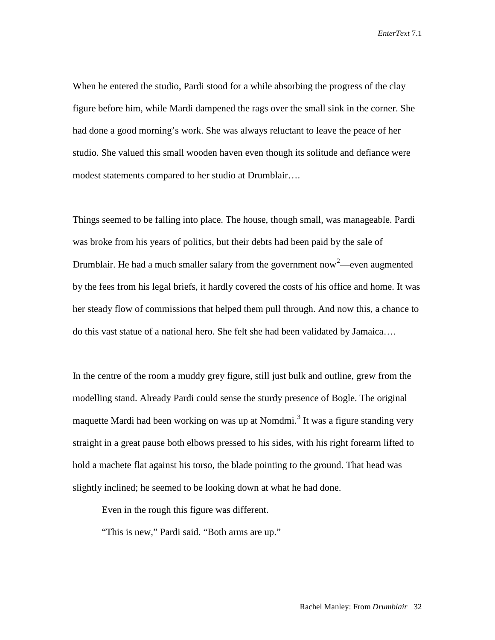When he entered the studio, Pardi stood for a while absorbing the progress of the clay figure before him, while Mardi dampened the rags over the small sink in the corner. She had done a good morning's work. She was always reluctant to leave the peace of her studio. She valued this small wooden haven even though its solitude and defiance were modest statements compared to her studio at Drumblair….

Things seemed to be falling into place. The house, though small, was manageable. Pardi was broke from his years of politics, but their debts had been paid by the sale of Drumblair. He had a much smaller salary from the government now<sup>[2](#page-5-1)</sup>—even augmented by the fees from his legal briefs, it hardly covered the costs of his office and home. It was her steady flow of commissions that helped them pull through. And now this, a chance to do this vast statue of a national hero. She felt she had been validated by Jamaica….

In the centre of the room a muddy grey figure, still just bulk and outline, grew from the modelling stand. Already Pardi could sense the sturdy presence of Bogle. The original maquette Mardi had been working on was up at Nomdmi.<sup>[3](#page-5-2)</sup> It was a figure standing very straight in a great pause both elbows pressed to his sides, with his right forearm lifted to hold a machete flat against his torso, the blade pointing to the ground. That head was slightly inclined; he seemed to be looking down at what he had done.

Even in the rough this figure was different.

"This is new," Pardi said. "Both arms are up."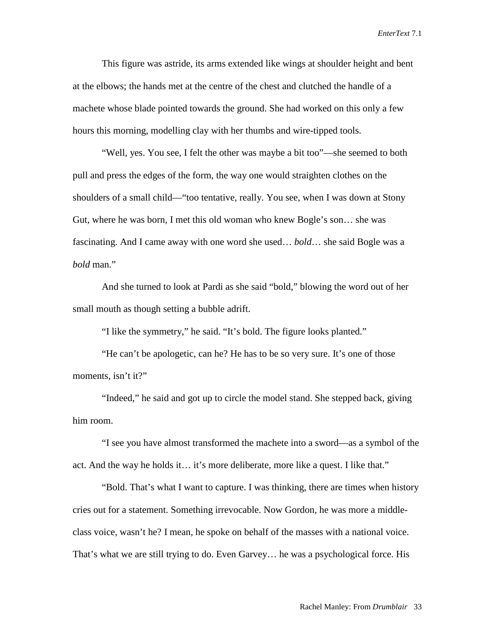This figure was astride, its arms extended like wings at shoulder height and bent at the elbows; the hands met at the centre of the chest and clutched the handle of a machete whose blade pointed towards the ground. She had worked on this only a few hours this morning, modelling clay with her thumbs and wire-tipped tools.

"Well, yes. You see, I felt the other was maybe a bit too"—she seemed to both pull and press the edges of the form, the way one would straighten clothes on the shoulders of a small child—"too tentative, really. You see, when I was down at Stony Gut, where he was born, I met this old woman who knew Bogle's son… she was fascinating. And I came away with one word she used… *bold*… she said Bogle was a *bold* man."

And she turned to look at Pardi as she said "bold," blowing the word out of her small mouth as though setting a bubble adrift.

"I like the symmetry," he said. "It's bold. The figure looks planted."

"He can't be apologetic, can he? He has to be so very sure. It's one of those moments, isn't it?"

"Indeed," he said and got up to circle the model stand. She stepped back, giving him room.

"I see you have almost transformed the machete into a sword—as a symbol of the act. And the way he holds it… it's more deliberate, more like a quest. I like that."

"Bold. That's what I want to capture. I was thinking, there are times when history cries out for a statement. Something irrevocable. Now Gordon, he was more a middleclass voice, wasn't he? I mean, he spoke on behalf of the masses with a national voice. That's what we are still trying to do. Even Garvey… he was a psychological force. His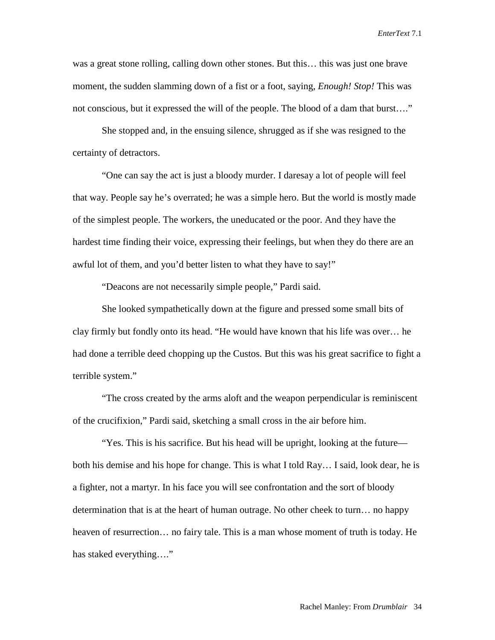was a great stone rolling, calling down other stones. But this… this was just one brave moment, the sudden slamming down of a fist or a foot, saying, *Enough! Stop!* This was not conscious, but it expressed the will of the people. The blood of a dam that burst…."

She stopped and, in the ensuing silence, shrugged as if she was resigned to the certainty of detractors.

"One can say the act is just a bloody murder. I daresay a lot of people will feel that way. People say he's overrated; he was a simple hero. But the world is mostly made of the simplest people. The workers, the uneducated or the poor. And they have the hardest time finding their voice, expressing their feelings, but when they do there are an awful lot of them, and you'd better listen to what they have to say!"

"Deacons are not necessarily simple people," Pardi said.

She looked sympathetically down at the figure and pressed some small bits of clay firmly but fondly onto its head. "He would have known that his life was over… he had done a terrible deed chopping up the Custos. But this was his great sacrifice to fight a terrible system."

"The cross created by the arms aloft and the weapon perpendicular is reminiscent of the crucifixion," Pardi said, sketching a small cross in the air before him.

"Yes. This is his sacrifice. But his head will be upright, looking at the future both his demise and his hope for change. This is what I told Ray… I said, look dear, he is a fighter, not a martyr. In his face you will see confrontation and the sort of bloody determination that is at the heart of human outrage. No other cheek to turn… no happy heaven of resurrection… no fairy tale. This is a man whose moment of truth is today. He has staked everything...."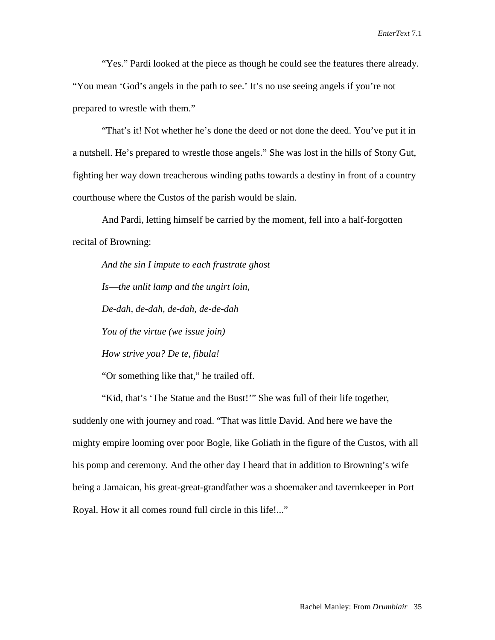<span id="page-5-0"></span>"Yes." Pardi looked at the piece as though he could see the features there already. "You mean 'God's angels in the path to see.' It's no use seeing angels if you're not prepared to wrestle with them."

<span id="page-5-2"></span><span id="page-5-1"></span>"That's it! Not whether he's done the deed or not done the deed. You've put it in a nutshell. He's prepared to wrestle those angels." She was lost in the hills of Stony Gut, fighting her way down treacherous winding paths towards a destiny in front of a country courthouse where the Custos of the parish would be slain.

And Pardi, letting himself be carried by the moment, fell into a half-forgotten recital of Browning:

*And the sin I impute to each frustrate ghost Is*—*the unlit lamp and the ungirt loin,*

*De-dah, de-dah, de-dah, de-de-dah*

*You of the virtue (we issue join)*

*How strive you? De te, fibula!*

"Or something like that," he trailed off.

"Kid, that's 'The Statue and the Bust!'" She was full of their life together, suddenly one with journey and road. "That was little David. And here we have the mighty empire looming over poor Bogle, like Goliath in the figure of the Custos, with all his pomp and ceremony. And the other day I heard that in addition to Browning's wife being a Jamaican, his great-great-grandfather was a shoemaker and tavernkeeper in Port Royal. How it all comes round full circle in this life!..."